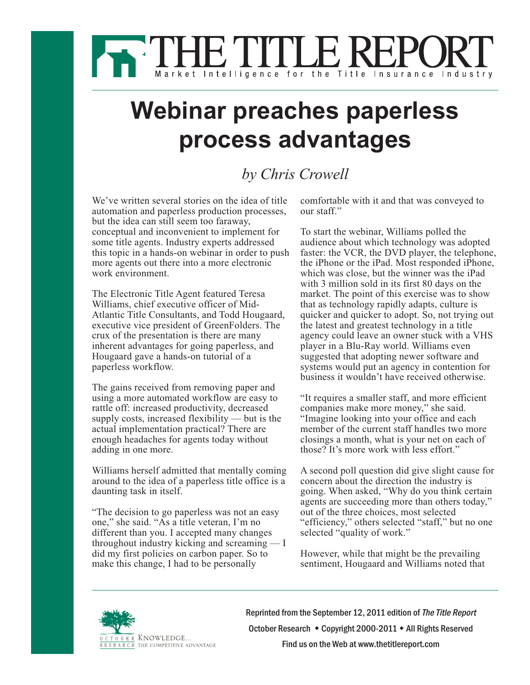

## **Webinar preaches paperless process advantages**

## *by Chris Crowell*

We've written several stories on the idea of title automation and paperless production processes, but the idea can still seem too faraway, conceptual and inconvenient to implement for some title agents. Industry experts addressed this topic in a hands-on webinar in order to push more agents out there into a more electronic work environment.

The Electronic Title Agent featured Teresa Williams, chief executive officer of Mid-Atlantic Title Consultants, and Todd Hougaard, executive vice president of GreenFolders. The crux of the presentation is there are many inherent advantages for going paperless, and Hougaard gave a hands-on tutorial of a paperless workflow.

The gains received from removing paper and using a more automated workflow are easy to rattle off: increased productivity, decreased supply costs, increased flexibility — but is the actual implementation practical? There are enough headaches for agents today without adding in one more.

Williams herself admitted that mentally coming around to the idea of a paperless title office is a daunting task in itself.

"The decision to go paperless was not an easy one," she said. "As a title veteran, I'm no different than you. I accepted many changes throughout industry kicking and screaming — I did my first policies on carbon paper. So to make this change, I had to be personally

comfortable with it and that was conveyed to our staff."

To start the webinar, Williams polled the audience about which technology was adopted faster: the VCR, the DVD player, the telephone, the iPhone or the iPad. Most responded iPhone, which was close, but the winner was the iPad with 3 million sold in its first 80 days on the market. The point of this exercise was to show that as technology rapidly adapts, culture is quicker and quicker to adopt. So, not trying out the latest and greatest technology in a title agency could leave an owner stuck with a VHS player in a Blu-Ray world. Williams even suggested that adopting newer software and systems would put an agency in contention for business it wouldn't have received otherwise.

"It requires a smaller staff, and more efficient companies make more money," she said. "Imagine looking into your office and each member of the current staff handles two more closings a month, what is your net on each of those? It's more work with less effort."

A second poll question did give slight cause for concern about the direction the industry is going. When asked, "Why do you think certain agents are succeeding more than others today," out of the three choices, most selected "efficiency," others selected "staff," but no one selected "quality of work."

However, while that might be the prevailing sentiment, Hougaard and Williams noted that



Reprinted from the September 12, 2011 edition of The Title Report October [Research](http://www.octoberstore.com) • Copyright 2000-2011 • All Rights Reserved Find us on the Web at [www.thetitlereport.com](http://www.valuationreview.com)